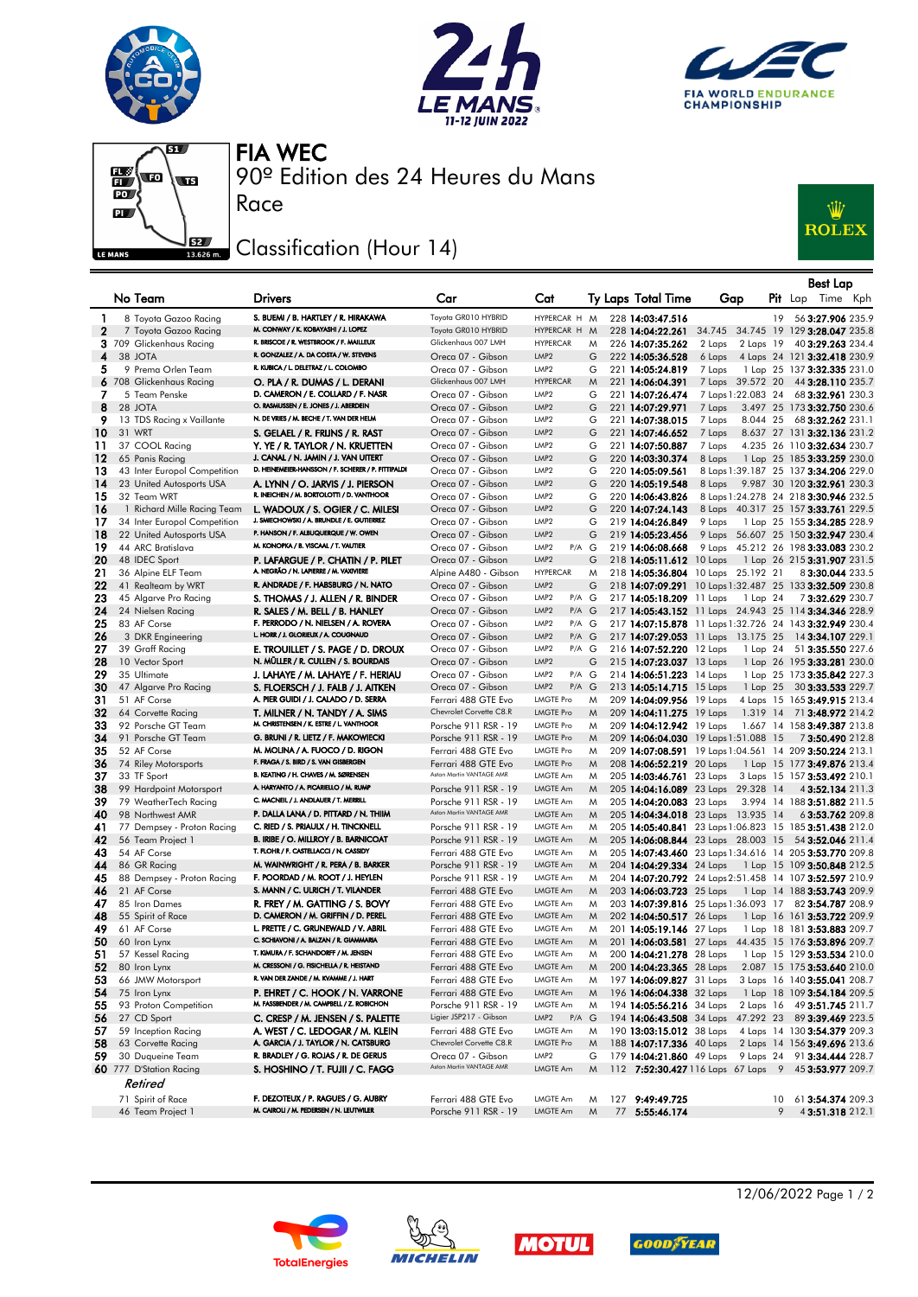







90º Edition des 24 Heures du Mans FIA WEC

## Classification (Hour 14)

Race



|              |                                         |                                                                                           |                                                 |                                      |        |                                      |                                                         |    | Best Lap                                         |          |
|--------------|-----------------------------------------|-------------------------------------------------------------------------------------------|-------------------------------------------------|--------------------------------------|--------|--------------------------------------|---------------------------------------------------------|----|--------------------------------------------------|----------|
|              | No Team                                 | <b>Drivers</b>                                                                            | Car                                             | Cat                                  |        | Ty Laps Total Time                   | Gap                                                     |    | $P$ it Lap                                       | Time Kph |
| 1            | 8 Toyota Gazoo Racing                   | S. BUEMI / B. HARTLEY / R. HIRAKAWA                                                       | Toyota GR010 HYBRID                             | HYPERCAR H M                         |        | 228 14:03:47.516                     |                                                         | 19 | 56 3:27.906 235.9                                |          |
| $\mathbf{2}$ | 7 Toyota Gazoo Racing                   | M. CONWAY / K. KOBAYASHI / J. LOPEZ                                                       | Toyota GR010 HYBRID                             | HYPERCAR H M                         |        | 228 14:04:22.261                     | 34.745 34.745 19 129 3:28.047 235.8                     |    |                                                  |          |
|              | 3 709 Glickenhaus Racing                | R. BRISCOE / R. WESTBROOK / F. MAILLEUX                                                   | Glickenhaus 007 LMH                             | <b>HYPERCAR</b>                      | M      | 226 14:07:35.262                     | 2 Laps<br>2 Laps 19                                     |    | 40 3:29.263 234.4                                |          |
| 4            | 38 JOTA                                 | R. GONZALEZ / A. DA COSTA / W. STEVENS                                                    | Oreca 07 - Gibson                               | LMP <sub>2</sub>                     | G      | 222 14:05:36.528                     | 6 Laps                                                  |    | 4 Laps 24 121 3:32.418 230.9                     |          |
| 5            | 9 Prema Orlen Team                      | R. KUBICA / L. DELETRAZ / L. COLOMBO                                                      | Oreca 07 - Gibson                               | LMP <sub>2</sub>                     | G      | 221 14:05:24.819                     | 7 Laps                                                  |    | 1 Lap 25 137 3:32.335 231.0                      |          |
|              | 6 708 Glickenhaus Racing                | O. PLA / R. DUMAS / L. DERANI                                                             | Glickenhaus 007 LMH                             | <b>HYPERCAR</b>                      | M      | 221 14:06:04.391                     | 7 Laps 39.572 20                                        |    | 44 3:28.110 235.7                                |          |
| 7            | 5 Team Penske                           | D. CAMERON / E. COLLARD / F. NASR                                                         | Oreca 07 - Gibson                               | LMP <sub>2</sub>                     | G      | 221 14:07:26.474                     | 7 Laps 1:22.083 24                                      |    | 68 3:32.961 230.3                                |          |
| 8            | 28 JOTA                                 | O. RASMUSSEN / E. JONES / J. ABERDEIN                                                     | Oreca 07 - Gibson                               | LMP <sub>2</sub>                     | G      | 221 14:07:29.971                     | 7 Laps                                                  |    | 3.497 25 173 3:32.750 230.6                      |          |
| 9            | 13 TDS Racing x Vaillante               | N. DE VRIES / M. BECHE / T. VAN DER HELM                                                  | Oreca 07 - Gibson                               | LMP <sub>2</sub>                     | G      | 221 14:07:38.015                     | 7 Laps<br>8.044 25                                      |    | 68 3:32.262 231.1                                |          |
| 10           | 31 WRT                                  | S. GELAEL / R. FRIJNS / R. RAST                                                           | Oreca 07 - Gibson                               | LMP <sub>2</sub>                     | G      | 221 14:07:46.652                     | 7 Laps                                                  |    | 8.637 27 131 3:32.136 231.2                      |          |
| 11           | 37 COOL Racing                          | Y. YE / R. TAYLOR / N. KRUETTEN                                                           | Oreca 07 - Gibson                               | LMP <sub>2</sub>                     | G      | 221 14:07:50.887                     | 7 Laps                                                  |    | 4.235 26 110 3:32.634 230.7                      |          |
| 12           | 65 Panis Racing                         | J. CANAL / N. JAMIN / J. VAN UITERT<br>D. HEINEMEIER-HANSSON / F. SCHERER / P. FITTIPALDI | Oreca 07 - Gibson                               | LMP <sub>2</sub>                     | G      | 220 14:03:30.374                     | 8 Laps                                                  |    | 1 Lap 25 185 3:33.259 230.0                      |          |
| 13<br>14     | 43 Inter Europol Competition            |                                                                                           | Oreca 07 - Gibson<br>Oreca 07 - Gibson          | LMP <sub>2</sub><br>LMP <sub>2</sub> | G<br>G | 220 14:05:09.561<br>220 14:05:19.548 | 8 Laps 1:39.187 25 137 3:34.206 229.0<br>8 Laps         |    |                                                  |          |
| 15           | 23 United Autosports USA<br>32 Team WRT | A. LYNN / O. JARVIS / J. PIERSON<br>R. INEICHEN / M. BORTOLOTTI / D. VANTHOOR             | Oreca 07 - Gibson                               | LMP <sub>2</sub>                     | G      | 220 14:06:43.826                     | 8 Laps 1:24.278 24 218 3:30.946 232.5                   |    | 9.987 30 120 3:32.961 230.3                      |          |
| 16           | 1 Richard Mille Racing Team             | L. WADOUX / S. OGIER / C. MILESI                                                          | Oreca 07 - Gibson                               | LMP <sub>2</sub>                     | G      | 220 14:07:24.143                     | 8 Laps 40.317 25 157 3:33.761 229.5                     |    |                                                  |          |
| 17           | 34 Inter Europol Competition            | J. SMIECHOWSKI / A. BRUNDLE / E. GUTIERREZ                                                | Oreca 07 - Gibson                               | LMP <sub>2</sub>                     | G      | 219 14:04:26.849                     | 9 Laps                                                  |    | 1 Lap 25 155 3:34.285 228.9                      |          |
| 18           | 22 United Autosports USA                | P. HANSON / F. ALBUQUERQUE / W. OWEN                                                      | Oreca 07 - Gibson                               | LMP <sub>2</sub>                     | G      | 219 14:05:23.456                     | 9 Laps 56.607 25 150 3:32.947 230.4                     |    |                                                  |          |
| 19           | 44 ARC Bratislava                       | M. KONOPKA / B. VISCAAL / T. VAUTIER                                                      | Oreca 07 - Gibson                               | P/A G<br>LMP <sub>2</sub>            |        | 219 14:06:08.668                     | 9 Laps 45.212 26 198 3:33.083 230.2                     |    |                                                  |          |
| 20           | 48 IDEC Sport                           | P. LAFARGUE / P. CHATIN / P. PILET                                                        | Oreca 07 - Gibson                               | LMP <sub>2</sub>                     | G      | 218 14:05:11.612 10 Laps             |                                                         |    | 1 Lap 26 215 <b>3:31.907</b> 231.5               |          |
| 21           | 36 Alpine ELF Team                      | A. NEGRÃO / N. LAPIERRE / M. VAXIVIERE                                                    | Alpine A480 - Gibson                            | <b>HYPERCAR</b>                      | M      |                                      | 218 14:05:36.804 10 Laps 25.192 21                      |    | 83:30.044 233.5                                  |          |
| 22           | 41 Realteam by WRT                      | R. ANDRADE / F. HABSBURG / N. NATO                                                        | Oreca 07 - Gibson                               | LMP <sub>2</sub>                     | G      |                                      | 218 14:07:09.291 10 Laps 1:32.487 25 133 3:32.509 230.8 |    |                                                  |          |
| 23           | 45 Algarve Pro Racing                   | S. THOMAS / J. ALLEN / R. BINDER                                                          | Oreca 07 - Gibson                               | LMP <sub>2</sub><br>$P/A$ G          |        | 217 14:05:18.209 11 Laps             | 1 Lap 24                                                |    | 73:32.629 230.7                                  |          |
| 24           | 24 Nielsen Racing                       | R. SALES / M. BELL / B. HANLEY                                                            | Oreca 07 - Gibson                               | LMP <sub>2</sub><br>$P/A$ $G$        |        |                                      | 217 14:05:43.152 11 Laps 24.943 25 114 3:34.346 228.9   |    |                                                  |          |
| 25           | 83 AF Corse                             | F. PERRODO / N. NIELSEN / A. ROVERA                                                       | Oreca 07 - Gibson                               | P/A G<br>LMP <sub>2</sub>            |        |                                      | 217 14:07:15.878 11 Laps 1:32.726 24 143 3:32.949 230.4 |    |                                                  |          |
| 26           | 3 DKR Engineering                       | L. HORR / J. GLORIEUX / A. COUGNAUD                                                       | Oreca 07 - Gibson                               | LMP <sub>2</sub><br>$P/A$ $G$        |        |                                      | 217 14:07:29.053 11 Laps 13.175 25                      |    | 14 3:34.107 229.1                                |          |
| 27           | 39 Graff Racing                         | E. TROUILLET / S. PAGE / D. DROUX                                                         | Oreca 07 - Gibson                               | LMP <sub>2</sub><br>$P/A$ G          |        | 216 14:07:52.220 12 Laps             | 1 Lap 24                                                |    | 51 3:35.550 227.6                                |          |
| 28           | 10 Vector Sport                         | N. MÜLLER / R. CULLEN / S. BOURDAIS                                                       | Oreca 07 - Gibson                               | LMP <sub>2</sub>                     | G      | 215 14:07:23.037 13 Laps             |                                                         |    | 1 Lap 26 195 3:33.281 230.0                      |          |
| 29           | 35 Ultimate                             | J. LAHAYE / M. LAHAYE / F. HERIAU                                                         | Oreca 07 - Gibson                               | P/A G<br>LMP <sub>2</sub>            |        | 214 14:06:51.223 14 Laps             |                                                         |    | 1 Lap 25 173 3:35.842 227.3                      |          |
| 30           | 47 Algarve Pro Racing                   | S. FLOERSCH / J. FALB / J. AITKEN                                                         | Oreca 07 - Gibson                               | LMP <sub>2</sub><br>$P/A$ $G$        |        | 213 14:05:14.715 15 Laps             | 1 Lap 25                                                |    | 30 3:33.533 229.7                                |          |
| 31           | 51 AF Corse                             | A. PIER GUIDI / J. CALADO / D. SERRA                                                      | Ferrari 488 GTE Evo                             | LMGTE Pro                            | M      | 209 14:04:09.956 19 Laps             |                                                         |    | 4 Laps 15 165 3:49.915 213.4                     |          |
| 32           | 64 Corvette Racing                      | T. MILNER / N. TANDY / A. SIMS                                                            | Chevrolet Corvette C8.R                         | <b>LMGTE Pro</b>                     | M      | 209 14:04:11.275 19 Laps             | 1.319 14                                                |    | 71 3:48.972 214.2                                |          |
| 33           | 92 Porsche GT Team                      | M. CHRISTENSEN / K. ESTRE / L. VANTHOOR                                                   | Porsche 911 RSR - 19                            | LMGTE Pro                            | M      | 209 14:04:12.942 19 Laps             |                                                         |    | 1.667 14 158 3:49.387 213.8                      |          |
| 34           | 91 Porsche GT Team                      | G. BRUNI / R. LIETZ / F. MAKOWIECKI                                                       | Porsche 911 RSR - 19                            | <b>LMGTE Pro</b>                     | M      |                                      | 209 14:06:04.030 19 Laps 1:51.088 15                    |    | 73:50.490 212.8                                  |          |
| 35           | 52 AF Corse                             | M. MOLINA / A. FUOCO / D. RIGON<br>F. FRAGA / S. BIRD / S. VAN GISBERGEN                  | Ferrari 488 GTE Evo                             | LMGTE Pro                            | M      |                                      | 209 14:07:08.591 19 Laps 1:04.561 14 209 3:50.224 213.1 |    |                                                  |          |
| 36<br>37     | 74 Riley Motorsports                    | B. KEATING / H. CHAVES / M. SØRENSEN                                                      | Ferrari 488 GTE Evo<br>Aston Martin VANTAGE AMR | <b>LMGTE Pro</b><br>LMGTE Am         | M      | 208 14:06:52.219 20 Laps             |                                                         |    | 1 Lap 15 177 <b>3:49.876</b> 213.4               |          |
| 38           | 33 TF Sport<br>99 Hardpoint Motorsport  | A. HARYANTO / A. PICARIELLO / M. RUMP                                                     | Porsche 911 RSR - 19                            | LMGTE Am                             | M<br>M | 205 14:03:46.761 23 Laps             | 205 14:04:16.089 23 Laps 29.328 14                      |    | 3 Laps 15 157 3:53.492 210.1<br>4 3:52.134 211.3 |          |
| 39           | 79 WeatherTech Racing                   | C. MACNEIL / J. ANDLAUER / T. MERRILL                                                     | Porsche 911 RSR - 19                            | LMGTE Am                             | M      | 205 14:04:20.083 23 Laps             |                                                         |    | 3.994 14 188 3:51.882 211.5                      |          |
| 40           | 98 Northwest AMR                        | P. DALLA LANA / D. PITTARD / N. THIIM                                                     | Aston Martin VANTAGE AMR                        | LMGTE Am                             | M      |                                      | 205 14:04:34.018 23 Laps 13.935 14                      |    | 63:53.762 209.8                                  |          |
| 41           | 77 Dempsey - Proton Racing              | C. RIED / S. PRIAULX / H. TINCKNELL                                                       | Porsche 911 RSR - 19                            | <b>LMGTE Am</b>                      | M      |                                      | 205 14:05:40.841 23 Laps 1:06.823 15 185 3:51.438 212.0 |    |                                                  |          |
| 42           | 56 Team Project 1                       | B. IRIBE / O. MILLROY / B. BARNICOAT                                                      | Porsche 911 RSR - 19                            | LMGTE Am                             | M      |                                      | 205 14:06:08.844 23 Laps 28.003 15 54 3:52.046 211.4    |    |                                                  |          |
| 43           | 54 AF Corse                             | T. FLOHR / F. CASTELLACCI / N. CASSIDY                                                    | Ferrari 488 GTE Evo                             | LMGTE Am                             | M      |                                      | 205 14:07:43.460 23 Laps 1:34.616 14 205 3:53.770 209.8 |    |                                                  |          |
| 44           | 86 GR Racing                            | M. WAINWRIGHT / R. PERA / B. BARKER                                                       | Porsche 911 RSR - 19                            | LMGTE Am                             | M      |                                      | 204 14:04:29.334 24 Laps 1 Lap 15 109 3:50.848 212.5    |    |                                                  |          |
| 45           | 88 Dempsey - Proton Racing              | F. POORDAD / M. ROOT / J. HEYLEN                                                          | Porsche 911 RSR - 19                            | LMGTE Am                             | M      |                                      | 204 14:07:20.792 24 Laps 2:51.458 14 107 3:52.597 210.9 |    |                                                  |          |
| 46           | 21 AF Corse                             | S. MANN / C. ULRICH / T. VILANDER                                                         | Ferrari 488 GTE Evo                             | LMGTE Am                             | M      | 203 14:06:03.723 25 Laps             |                                                         |    | 1 Lap 14 188 3:53.743 209.9                      |          |
| 47           | 85 Iron Dames                           | R. FREY / M. GATTING / S. BOVY                                                            | Ferrari 488 GTE Evo                             | LMGTE Am                             | M      |                                      | 203 14:07:39.816 25 Laps 1:36.093 17 82 3:54.787 208.9  |    |                                                  |          |
| 48           | 55 Spirit of Race                       | D. CAMERON / M. GRIFFIN / D. PEREL                                                        | Ferrari 488 GTE Evo                             | LMGTE Am                             | M      | 202 14:04:50.517 26 Laps             |                                                         |    | 1 Lap 16 161 3:53.722 209.9                      |          |
| 49           | 61 AF Corse                             | L. PRETTE / C. GRUNEWALD / V. ABRIL                                                       | Ferrari 488 GTE Evo                             | LMGTE Am                             | M      | 201 14:05:19.146 27 Laps             |                                                         |    | 1 Lap 18 181 3:53.883 209.7                      |          |
| 50           | 60 Iron Lynx                            | C. SCHIAVONI / A. BALZAN / R. GIAMMARIA                                                   | Ferrari 488 GTE Evo                             | LMGTE Am                             | M      |                                      | 201 14:06:03.581 27 Laps 44.435 15 176 3:53.896 209.7   |    |                                                  |          |
| 51           | 57 Kessel Racing                        | T. KIMURA / F. SCHANDORFF / M. JENSEN                                                     | Ferrari 488 GTE Evo                             | LMGTE Am                             | M      | 200 14:04:21.278 28 Laps             |                                                         |    | 1 Lap 15 129 <b>3:53.534</b> 210.0               |          |
| 52           | 80 Iron Lynx                            | M. CRESSONI / G. FISICHELLA / R. HEISTAND                                                 | Ferrari 488 GTE Evo                             | LMGTE Am                             | M      | 200 14:04:23.365 28 Laps             |                                                         |    | 2.087 15 175 3:53.640 210.0                      |          |
| 53           | 66 JMW Motorsport                       | R. VAN DER ZANDE / M. KVAMME / J. HART                                                    | Ferrari 488 GTE Evo                             | LMGTE Am                             | M      | 197 14:06:09.827 31 Laps             |                                                         |    | 3 Laps 16 140 3:55.041 208.7                     |          |
| 54           | 75 Iron Lynx                            | P. EHRET / C. HOOK / N. VARRONE<br>M. FASSBENDER / M. CAMPBELL / Z. ROBICHON              | Ferrari 488 GTE Evo                             | LMGTE Am                             | M      | 196 14:06:04.338 32 Laps             |                                                         |    | 1 Lap 18 109 3:54.184 209.5                      |          |
| 55           | 93 Proton Competition                   |                                                                                           | Porsche 911 RSR - 19<br>Ligier JSP217 - Gibson  | LMGTE Am                             | M      | 194 14:05:56.216 34 Laps             |                                                         |    | 2 Laps 16 49 3:51.745 211.7                      |          |
| 56           | 27 CD Sport<br>59 Inception Racing      | C. CRESP / M. JENSEN / S. PALETTE<br>A. WEST / C. LEDOGAR / M. KLEIN                      |                                                 | LMP2<br>$P/A$ $G$                    |        | 190 13:03:15.012 38 Laps             | 194 14:06:43.508 34 Laps 47.292 23 89 3:39.469 223.5    |    |                                                  |          |
| 57<br>58     | 63 Corvette Racing                      | A. GARCIA / J. TAYLOR / N. CATSBURG                                                       | Ferrari 488 GTE Evo<br>Chevrolet Corvette C8.R  | LMGTE Am<br><b>LMGTE Pro</b>         | M      |                                      | 188 14:07:17.336 40 Laps 2 Laps 14 156 3:49.696 213.6   |    | 4 Laps 14 130 3:54.379 209.3                     |          |
| 59           | 30 Duqueine Team                        | R. BRADLEY / G. ROJAS / R. DE GERUS                                                       | Oreca 07 - Gibson                               | LMP <sub>2</sub>                     | M<br>G |                                      | 179 14:04:21.860 49 Laps 9 Laps 24 91 3:34.444 228.7    |    |                                                  |          |
|              | 60 777 D'Station Racing                 | S. HOSHINO / T. FUJII / C. FAGG                                                           | Aston Martin VANTAGE AMR                        | LMGTE Am                             | M      |                                      | 112 7:52:30.427 116 Laps 67 Laps 9 45 3:53.977 209.7    |    |                                                  |          |
|              |                                         |                                                                                           |                                                 |                                      |        |                                      |                                                         |    |                                                  |          |
|              | Retired                                 |                                                                                           |                                                 |                                      |        |                                      |                                                         |    |                                                  |          |
|              | 71 Spirit of Race                       | F. DEZOTEUX / P. RAGUES / G. AUBRY<br>M. CAIROLI / M. PEDERSEN / N. LEUTWILER             | Ferrari 488 GTE Evo                             | LMGTE Am                             | M      | 127 9:49:49.725                      |                                                         |    | 10 61 3:54.374 209.3                             |          |
|              | 46 Team Project 1                       |                                                                                           | Porsche 911 RSR - 19                            | LMGTE Am                             | M      | 77 5:55:46.174                       |                                                         | 9  | 43:51.318 212.1                                  |          |